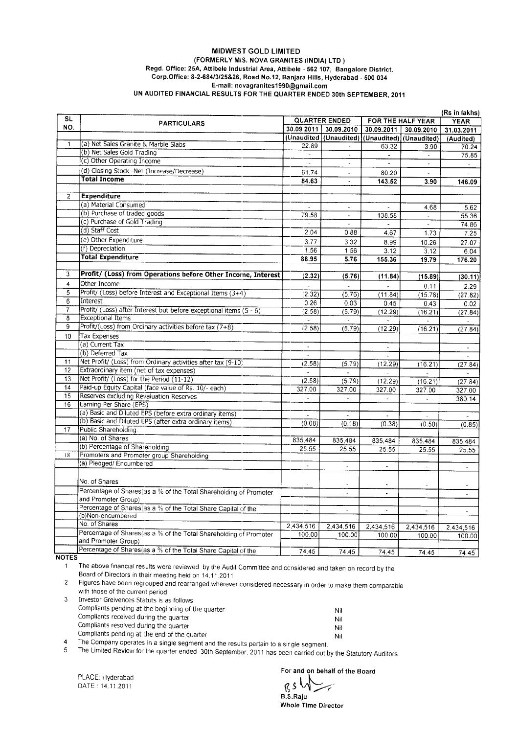## **MIDWEST GOLD LIMITED** (FORMERLY M/S. NOVA GRANITES (INDIA) LTD ) Regd. Office: 25A, Attibele Industrial Area, Attibele - 562 107, Bangalore District.<br>Corp.Office: 8-2-684/3/25&26, Road No.12, Banjara Hills, Hyderabad - 500 034 E-mail: novagranites1990@gmail.com UN AUDITED FINANCIAL RESULTS FOR THE QUARTER ENDED 30th SEPTEMBER, 2011

|                         |                                                                    |                          |                                                |                             |                     | (Rs in lakhs)            |
|-------------------------|--------------------------------------------------------------------|--------------------------|------------------------------------------------|-----------------------------|---------------------|--------------------------|
| <b>SL</b>               | <b>PARTICULARS</b>                                                 | <b>QUARTER ENDED</b>     |                                                |                             | FOR THE HALF YEAR   | <b>YEAR</b>              |
| NO.                     |                                                                    |                          | 30.09.2011 30.09.2010                          | 30.09.2011                  | 30.09.2010          | 31.03.2011               |
|                         |                                                                    |                          | (Unaudited (Unaudited) (Unaudited) (Unaudited) |                             |                     | (Audited)                |
| $\mathbf{1}$            | (a) Net Sales Granite & Marble Slabs                               | 22.89                    |                                                | 63.32                       | 3.90                | 70.24                    |
|                         | (b) Net Sales Gold Trading                                         | $\blacksquare$           | $\Box$                                         | $\mathcal{L}_{\mathcal{A}}$ | $\omega$            | 75.85                    |
|                         | (c) Other Operating Income                                         |                          | $\blacksquare$                                 | $\overline{\phantom{a}}$    | $\bar{\phantom{a}}$ | $\sim$                   |
|                         | (d) Closing Stock -Net (Increase/Decrease)                         | 61.74                    | $\omega$                                       | 80.20                       | $\overline{a}$      |                          |
|                         | <b>Total Income</b>                                                | 84.63                    | $\blacksquare$                                 | 143.52                      | 3.90                | 146.09                   |
|                         |                                                                    |                          |                                                |                             |                     |                          |
| $\overline{2}$          | <b>Expenditure</b>                                                 |                          |                                                |                             |                     |                          |
|                         | (a) Material Consumed                                              |                          |                                                |                             | 4.68                | 5.62                     |
|                         | (b) Purchase of traded goods                                       | 79.58                    | $\overline{a}$                                 | 138.58                      |                     | 55.36                    |
|                         | (c) Purchase of Gold Trading                                       | $\overline{\phantom{a}}$ | $\mathcal{L}$                                  |                             | $\omega$            | 74.86                    |
|                         | (d) Staff Cost                                                     | 2.04                     | 0.88                                           | 4.67                        | 1.73                | 7.25                     |
|                         | (e) Other Expenditure                                              | 3.77                     | 3.32                                           | 8.99                        | 10.26               | 27.07                    |
|                         | (f) Depreciation                                                   | 1.56                     | 1.56                                           | 3.12                        | 3.12                | 6.04                     |
|                         | <b>Total Expenditure</b>                                           | 86.95                    | 5.76                                           | 155.36                      | 19.79               | 176.20                   |
|                         |                                                                    |                          |                                                |                             |                     |                          |
| 3                       | Profit/ (Loss) from Operations before Other Incorne, Interest      | (2.32)                   | (5.76)                                         | (11.84)                     | (15.89)             | (30.11)                  |
| $\overline{\mathbf{4}}$ | Other Income                                                       | $\sim$                   | $\sim$                                         |                             | 0.11                | 2.29                     |
| 5                       | Profit/ (Loss) before Interest and Exceptional Items (3+4)         | (2.32)                   | (5.76)                                         | (11.84)                     | (15.78)             | (27.82)                  |
| $6\overline{6}$         | Interest                                                           | 0.26                     | 0.03                                           | 0.45                        | 0.43                | 0.02                     |
| $\overline{7}$          | Profit/ (Loss) after Interest but before exceptional items (5 - 6) | (2.58)                   | (5.79)                                         | (12.29)                     | (16.21)             | (27.84)                  |
| 8                       | <b>Exceptional Items</b>                                           | $\omega$                 |                                                |                             |                     |                          |
| $\overline{9}$          | Profit/(Loss) from Ordinary activities before tax (7+8)            | (2.58)                   | (5.79)                                         | (12.29)                     | (16.21)             | (27.84)                  |
| 10                      | <b>Tax Expenses</b>                                                |                          |                                                |                             |                     |                          |
|                         | (a) Current Tax                                                    | $\mathcal{L}$            |                                                | $\overline{a}$              |                     | $\overline{\phantom{a}}$ |
|                         | (b) Deferred Tax                                                   |                          |                                                | $\overline{a}$              |                     |                          |
| 11                      | Net Profit/ (Loss) from Ordinary activities after tax (9-10)       | (2.58)                   | (5.79)                                         | (12.29)                     | (16.21)             | (27.84)                  |
| 12                      | Extraordinary item (net of tax expenses)                           | $\sim$                   | $\sim$                                         | $\overline{a}$              | $\mathbf{r}$        | L.                       |
| 13                      | Net Profit/ (Loss) for the Period (11-12)                          | (2.58)                   | (5.79)                                         | (12.29)                     | (16.21)             | (27.84)                  |
| 14                      | Paid-up Equity Capital (face value of Rs. 10/- each)               | 327.00                   | 327.00                                         | 327.00                      | 327.00              | 327.00                   |
| 15                      | Reserves excluding Revaluation Reserves                            | $\overline{a}$           | $\overline{\phantom{a}}$                       | ä,                          | ÷.                  | 380.14                   |
| 16                      | Earning Per Share (EPS)                                            |                          |                                                |                             |                     |                          |
|                         | (a) Basic and Diluted EPS (before extra ordinary items)            |                          |                                                | $\overline{a}$              |                     |                          |
|                         | (b) Basic and Diluted EPS (after extra ordinary items)             | (0.08)                   | (0.18)                                         | (0.38)                      | (0.50)              | (0.85)                   |
| 17                      | Public Shareholding:                                               |                          |                                                |                             |                     |                          |
|                         | (a) No. of Shares                                                  | 835,484                  | 835,484                                        | 835,484                     | 835,484             | 835,484                  |
|                         | (b) Percentage of Shareholding                                     | 25.55                    | 25.55                                          | 25.55                       | 25.55               | 25.55                    |
| 18                      | Promoters and Promoter group Shareholding                          |                          |                                                |                             |                     |                          |
|                         | (a) Pledged/ Encumbered                                            | $\Box$                   | ä,                                             | $\overline{\phantom{a}}$    | $\overline{a}$      |                          |
|                         |                                                                    |                          |                                                |                             |                     |                          |
|                         | No. of Shares                                                      | ×.                       | $\overline{a}$                                 | $\overline{a}$              |                     |                          |
|                         | Percentage of Shares(as a % of the Total Shareholding of Promoter  | $\overline{\phantom{a}}$ | L.                                             | $\ddot{\phantom{a}}$        | $\overline{a}$      |                          |
|                         | and Promoter Group)                                                |                          |                                                |                             |                     |                          |
|                         | Percentage of Shares (as a % of the Total Share Capital of the     | $\omega$                 | $\overline{\phantom{a}}$                       | ä,                          | $\omega$            | L,                       |
|                         | (b)Non-encumbered                                                  |                          |                                                |                             |                     |                          |
|                         | No. of Shares                                                      | 2,434,516                | 2,434.516                                      | 2,434,516                   | 2,434,516           | 2,434,516                |
|                         | Percentage of Shares(as a % of the Total Shareholding of Promoter  | 100.00                   | 100.00                                         | 100.00                      | 100.00              | 100.00                   |
|                         | and Promoter Group)                                                |                          |                                                |                             |                     |                          |
|                         | Percentage of Shares(as a % of the Total Share Capital of the      | 74.45                    | 74.45                                          | 74.45                       | 74.45               | 74.45                    |

.<br>The above financial results were reviewed by the Audit Committee and considered and taken on record by the  $\mathbf{1}$ Board of Directors in their meeting held on 14.11.2011

 $\overline{c}$ Figures have been regrouped and rearranged wherever considered necessary in order to make them comparable with those of the current period.

| Investor Greivences Statuts is as follows          |     |
|----------------------------------------------------|-----|
| Compliants pending at the beginning of the quarter | Nil |
| Compliants received during the quarter             | Nil |
| Compliants resolved during the quarter             | Nil |
| Compliants pending at the end of the quarter       | Nil |
|                                                    |     |

The Company operates in a single segment and the results pertain to a sir gle segment.  $\overline{4}$  $\overline{5}$ 

The Limited Review for the quarter ended 30th September, 2011 has been carried out by the Statutory Auditors.

PLACE: Hyderabad DATE: 14.11.2011

For and on behalf of the Board

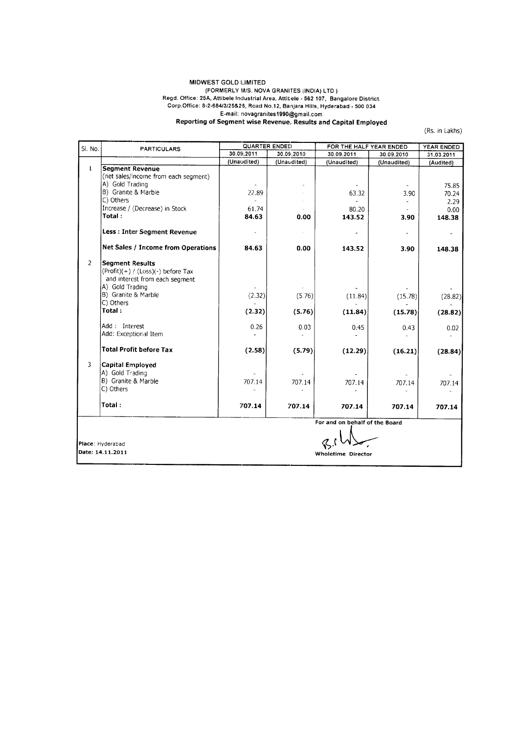## MIDWEST GOLD LIMITED MIDWEST GOLD LIMITED<br>
(FORMERLY M/S. NOVA GRANITES (INDIA) LTD )<br>
Regd. Office: 25A, Attibele Industrial Area, Attibele - 562 107, Bangalore District.<br>
Corp.Office: 8-2-684/3/25&26, Road No.12, Banjara Hills, Hyderabad - 5

(Rs. in Lakhs)

| SI. No.       | <b>PARTICULARS</b>                                                                                                  | <b>QUARTER ENDED</b> |             | FOR THE HALF YEAR ENDED        | YEAR ENDED  |                |
|---------------|---------------------------------------------------------------------------------------------------------------------|----------------------|-------------|--------------------------------|-------------|----------------|
|               |                                                                                                                     | 30.09.2011           | 30.09.2010  | 30.09.2011                     | 30.09.2010  | 31.03.2011     |
|               |                                                                                                                     | (Unaudited)          | (Unaudited) | (Unaudited)                    | (Unaudited) | (Audited)      |
| $\mathbf{1}$  | <b>Segment Revenue</b><br>(net sales/income from each segment)<br>A) Gold Trading                                   |                      |             |                                |             | 75.85          |
|               | B) Granite & Marble<br>C) Others                                                                                    | 22.89                |             | 63.32                          | 3.90        | 70.24<br>2.29  |
|               | Increase / (Decrease) in Stock<br>Total:                                                                            | 61.74<br>84.63       | 0.00        | 80.20<br>143.52                | 3.90        | 0.00<br>148.38 |
|               | Less: Inter Segment Revenue                                                                                         |                      |             |                                |             |                |
|               | Net Sales / Income from Operations                                                                                  | 84.63                | 0.00        | 143.52                         | 3.90        | 148.38         |
| $\mathcal{L}$ | <b>Segment Results</b><br>$(Profit)(+) / (Loss)(-) before Tax$<br>and interest from each segment<br>A) Gold Trading |                      |             |                                |             |                |
|               | B) Granite & Marble<br>C) Others                                                                                    | (2.32)               | (5.76)      | (11.84)                        | (15.78)     | (28.82)        |
|               | Total:                                                                                                              | (2.32)               | (5.76)      | (11.84)                        | (15.78)     | (28.82)        |
|               | Add: Interest<br>Add: Exceptional Item                                                                              | 0.26                 | 0.03        | 0.45                           | 0.43        | 0.02           |
|               | <b>Total Profit before Tax</b>                                                                                      | (2.58)               | (5.79)      | (12.29)                        | (16.21)     | (28.84)        |
| 3             | <b>Capital Employed</b><br>A) Gold Trading<br>B) Granite & Marble                                                   | 707.14               | 707.14      | 707.14                         | 707.14      | 707.14         |
|               | C) Others                                                                                                           |                      |             |                                |             |                |
|               | Total:                                                                                                              | 707.14               | 707.14      | 707.14                         | 707.14      | 707.14         |
|               |                                                                                                                     |                      |             | For and on behalf of the Board |             |                |
|               | Place: Hyderabad<br>Date: 14.11.2011                                                                                |                      |             | <b>Wholetime Director</b>      |             |                |